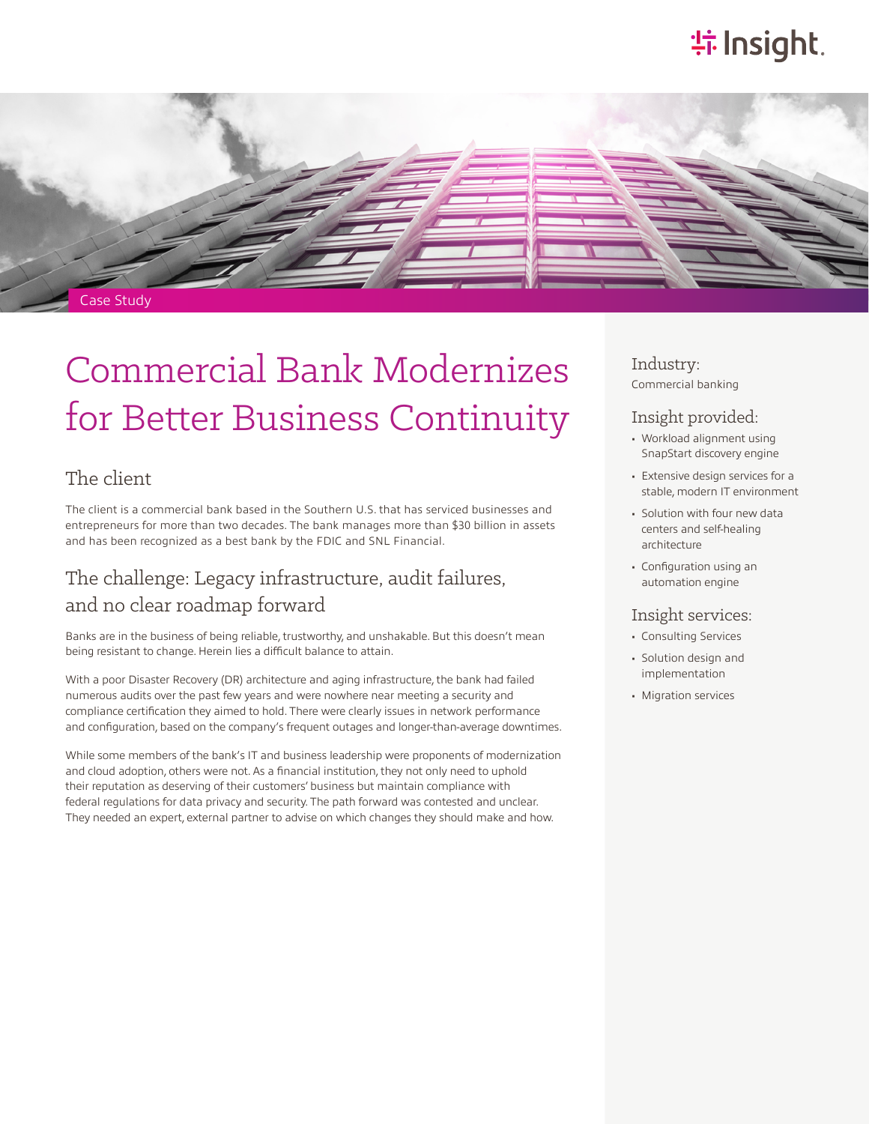# **特Insight**.



# Commercial Bank Modernizes for Better Business Continuity

### The client

The client is a commercial bank based in the Southern U.S. that has serviced businesses and entrepreneurs for more than two decades. The bank manages more than \$30 billion in assets and has been recognized as a best bank by the FDIC and SNL Financial.

## The challenge: Legacy infrastructure, audit failures, and no clear roadmap forward

Banks are in the business of being reliable, trustworthy, and unshakable. But this doesn't mean being resistant to change. Herein lies a difficult balance to attain.

With a poor Disaster Recovery (DR) architecture and aging infrastructure, the bank had failed numerous audits over the past few years and were nowhere near meeting a security and compliance certification they aimed to hold. There were clearly issues in network performance and configuration, based on the company's frequent outages and longer-than-average downtimes.

While some members of the bank's IT and business leadership were proponents of modernization and cloud adoption, others were not. As a financial institution, they not only need to uphold their reputation as deserving of their customers' business but maintain compliance with federal regulations for data privacy and security. The path forward was contested and unclear. They needed an expert, external partner to advise on which changes they should make and how.

Industry: Commercial banking

#### Insight provided:

- Workload alignment using SnapStart discovery engine
- Extensive design services for a stable, modern IT environment
- Solution with four new data centers and self-healing architecture
- Configuration using an automation engine

#### Insight services:

- Consulting Services
- Solution design and implementation
- Migration services